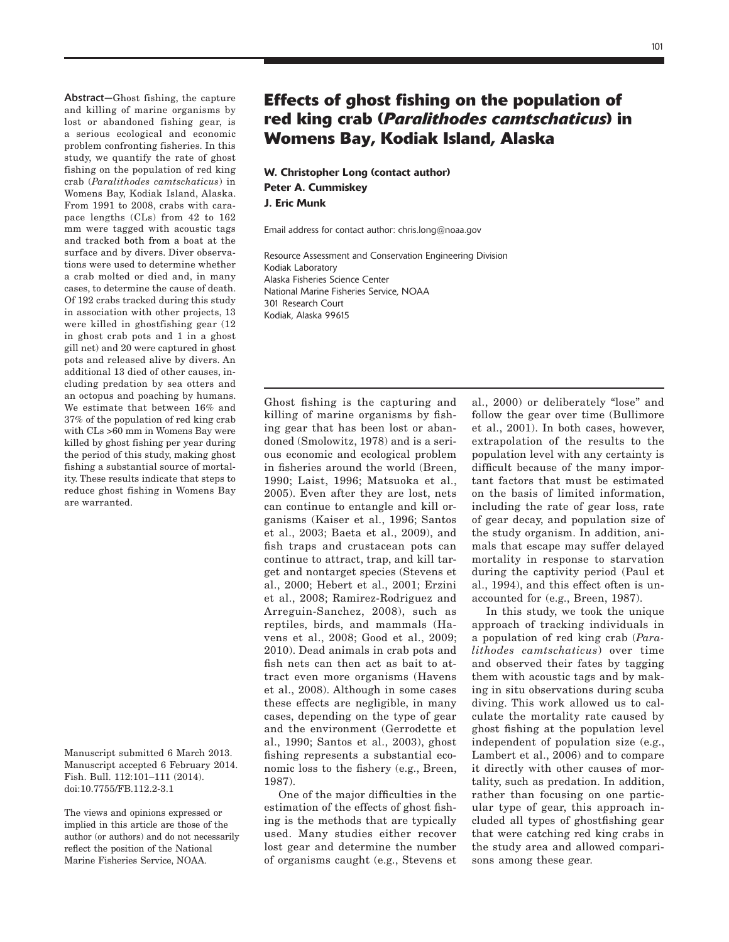Abstract—Ghost fishing, the capture and killing of marine organisms by lost or abandoned fishing gear, is a serious ecological and economic problem confronting fisheries. In this study, we quantify the rate of ghost fishing on the population of red king crab (*Paralithodes camtschaticus*) in Womens Bay, Kodiak Island, Alaska. From 1991 to 2008, crabs with carapace lengths (CLs) from 42 to 162 mm were tagged with acoustic tags and tracked both from a boat at the surface and by divers. Diver observations were used to determine whether a crab molted or died and, in many cases, to determine the cause of death. Of 192 crabs tracked during this study in association with other projects, 13 were killed in ghostfishing gear (12 in ghost crab pots and 1 in a ghost gill net) and 20 were captured in ghost pots and released alive by divers. An additional 13 died of other causes, including predation by sea otters and an octopus and poaching by humans. We estimate that between 16% and 37% of the population of red king crab with CLs >60 mm in Womens Bay were killed by ghost fishing per year during the period of this study, making ghost fishing a substantial source of mortality. These results indicate that steps to reduce ghost fishing in Womens Bay are warranted.

Manuscript submitted 6 March 2013. Manuscript accepted 6 February 2014. Fish. Bull. 112:101–111 (2014). doi:10.7755/FB.112.2-3.1

The views and opinions expressed or implied in this article are those of the author (or authors) and do not necessarily reflect the position of the National Marine Fisheries Service, NOAA.

# **Effects of ghost fi shing on the population of red king crab (***Paralithodes camtschaticus***) in Womens Bay, Kodiak Island, Alaska**

W. Christopher Long (contact author) Peter A. Cummiskey J. Eric Munk

Email address for contact author: chris.long@noaa.gov

Resource Assessment and Conservation Engineering Division Kodiak Laboratory Alaska Fisheries Science Center National Marine Fisheries Service, NOAA 301 Research Court Kodiak, Alaska 99615

Ghost fishing is the capturing and killing of marine organisms by fishing gear that has been lost or abandoned (Smolowitz, 1978) and is a serious economic and ecological problem in fisheries around the world (Breen, 1990; Laist, 1996; Matsuoka et al., 2005). Even after they are lost, nets can continue to entangle and kill organisms (Kaiser et al., 1996; Santos et al., 2003; Baeta et al., 2009), and fish traps and crustacean pots can continue to attract, trap, and kill target and nontarget species (Stevens et al., 2000; Hebert et al., 2001; Erzini et al., 2008; Ramirez-Rodriguez and Arreguin-Sanchez, 2008), such as reptiles, birds, and mammals (Havens et al., 2008; Good et al., 2009; 2010). Dead animals in crab pots and fish nets can then act as bait to attract even more organisms (Havens et al., 2008). Although in some cases these effects are negligible, in many cases, depending on the type of gear and the environment (Gerrodette et al., 1990; Santos et al., 2003), ghost fishing represents a substantial economic loss to the fishery (e.g., Breen, 1987).

One of the major difficulties in the estimation of the effects of ghost fishing is the methods that are typically used. Many studies either recover lost gear and determine the number of organisms caught (e.g., Stevens et

al., 2000) or deliberately "lose" and follow the gear over time (Bullimore et al., 2001). In both cases, however, extrapolation of the results to the population level with any certainty is difficult because of the many important factors that must be estimated on the basis of limited information, including the rate of gear loss, rate of gear decay, and population size of the study organism. In addition, animals that escape may suffer delayed mortality in response to starvation during the captivity period (Paul et al., 1994), and this effect often is unaccounted for (e.g., Breen, 1987).

In this study, we took the unique approach of tracking individuals in a population of red king crab (*Paralithodes camtschaticus*) over time and observed their fates by tagging them with acoustic tags and by making in situ observations during scuba diving. This work allowed us to calculate the mortality rate caused by ghost fishing at the population level independent of population size (e.g., Lambert et al., 2006) and to compare it directly with other causes of mortality, such as predation. In addition, rather than focusing on one particular type of gear, this approach included all types of ghostfishing gear that were catching red king crabs in the study area and allowed comparisons among these gear.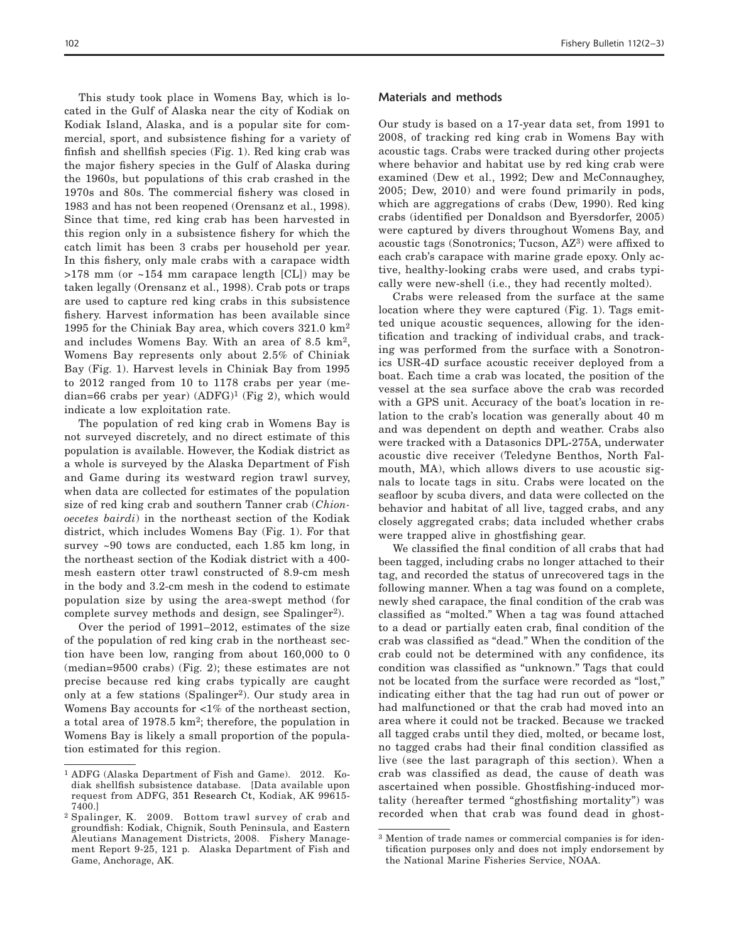This study took place in Womens Bay, which is located in the Gulf of Alaska near the city of Kodiak on Kodiak Island, Alaska, and is a popular site for commercial, sport, and subsistence fishing for a variety of finfish and shellfish species (Fig. 1). Red king crab was the major fishery species in the Gulf of Alaska during the 1960s, but populations of this crab crashed in the 1970s and 80s. The commercial fishery was closed in 1983 and has not been reopened (Orensanz et al., 1998). Since that time, red king crab has been harvested in this region only in a subsistence fishery for which the catch limit has been 3 crabs per household per year. In this fishery, only male crabs with a carapace width >178 mm (or ~154 mm carapace length [CL]) may be taken legally (Orensanz et al., 1998). Crab pots or traps are used to capture red king crabs in this subsistence fishery. Harvest information has been available since 1995 for the Chiniak Bay area, which covers 321.0 km2 and includes Womens Bay. With an area of 8.5 km2, Womens Bay represents only about 2.5% of Chiniak Bay (Fig. 1). Harvest levels in Chiniak Bay from 1995 to 2012 ranged from 10 to 1178 crabs per year (median=66 crabs per year)  $(ADFG)^1$  (Fig 2), which would indicate a low exploitation rate.

The population of red king crab in Womens Bay is not surveyed discretely, and no direct estimate of this population is available. However, the Kodiak district as a whole is surveyed by the Alaska Department of Fish and Game during its westward region trawl survey, when data are collected for estimates of the population size of red king crab and southern Tanner crab (*Chionoecetes bairdi*) in the northeast section of the Kodiak district, which includes Womens Bay (Fig. 1). For that survey ~90 tows are conducted, each 1.85 km long, in the northeast section of the Kodiak district with a 400 mesh eastern otter trawl constructed of 8.9-cm mesh in the body and 3.2-cm mesh in the codend to estimate population size by using the area-swept method (for complete survey methods and design, see Spalinger<sup>2</sup>).

Over the period of 1991–2012, estimates of the size of the population of red king crab in the northeast section have been low, ranging from about 160,000 to 0 (median=9500 crabs) (Fig. 2); these estimates are not precise because red king crabs typically are caught only at a few stations (Spalinger2). Our study area in Womens Bay accounts for <1% of the northeast section, a total area of 1978.5 km2; therefore, the population in Womens Bay is likely a small proportion of the population estimated for this region.

## Materials and methods

Our study is based on a 17-year data set, from 1991 to 2008, of tracking red king crab in Womens Bay with acoustic tags. Crabs were tracked during other projects where behavior and habitat use by red king crab were examined (Dew et al., 1992; Dew and McConnaughey, 2005; Dew, 2010) and were found primarily in pods, which are aggregations of crabs (Dew, 1990). Red king crabs (identified per Donaldson and Byersdorfer, 2005) were captured by divers throughout Womens Bay, and acoustic tags (Sonotronics; Tucson,  $AZ^3$ ) were affixed to each crab's carapace with marine grade epoxy. Only active, healthy-looking crabs were used, and crabs typically were new-shell (i.e., they had recently molted).

Crabs were released from the surface at the same location where they were captured (Fig. 1). Tags emitted unique acoustic sequences, allowing for the identification and tracking of individual crabs, and tracking was performed from the surface with a Sonotronics USR-4D surface acoustic receiver deployed from a boat. Each time a crab was located, the position of the vessel at the sea surface above the crab was recorded with a GPS unit. Accuracy of the boat's location in relation to the crab's location was generally about 40 m and was dependent on depth and weather. Crabs also were tracked with a Datasonics DPL-275A, underwater acoustic dive receiver (Teledyne Benthos, North Falmouth, MA), which allows divers to use acoustic signals to locate tags in situ. Crabs were located on the seafloor by scuba divers, and data were collected on the behavior and habitat of all live, tagged crabs, and any closely aggregated crabs; data included whether crabs were trapped alive in ghostfishing gear.

We classified the final condition of all crabs that had been tagged, including crabs no longer attached to their tag, and recorded the status of unrecovered tags in the following manner. When a tag was found on a complete, newly shed carapace, the final condition of the crab was classified as "molted." When a tag was found attached to a dead or partially eaten crab, final condition of the crab was classified as "dead." When the condition of the crab could not be determined with any confidence, its condition was classified as "unknown." Tags that could not be located from the surface were recorded as "lost," indicating either that the tag had run out of power or had malfunctioned or that the crab had moved into an area where it could not be tracked. Because we tracked all tagged crabs until they died, molted, or became lost, no tagged crabs had their final condition classified as live (see the last paragraph of this section). When a crab was classified as dead, the cause of death was ascertained when possible. Ghostfishing-induced mortality (hereafter termed "ghostfishing mortality") was recorded when that crab was found dead in ghost-

<sup>1</sup> ADFG (Alaska Department of Fish and Game). 2012. Kodiak shellfish subsistence database. [Data available upon request from ADFG, 351 Research Ct, Kodiak, AK 99615- 7400.]

<sup>2</sup> Spalinger, K. 2009. Bottom trawl survey of crab and groundfish: Kodiak, Chignik, South Peninsula, and Eastern Aleutians Management Districts, 2008. Fishery Management Report 9-25, 121 p. Alaska Department of Fish and Game, Anchorage, AK.

<sup>3</sup> Mention of trade names or commercial companies is for identification purposes only and does not imply endorsement by the National Marine Fisheries Service, NOAA.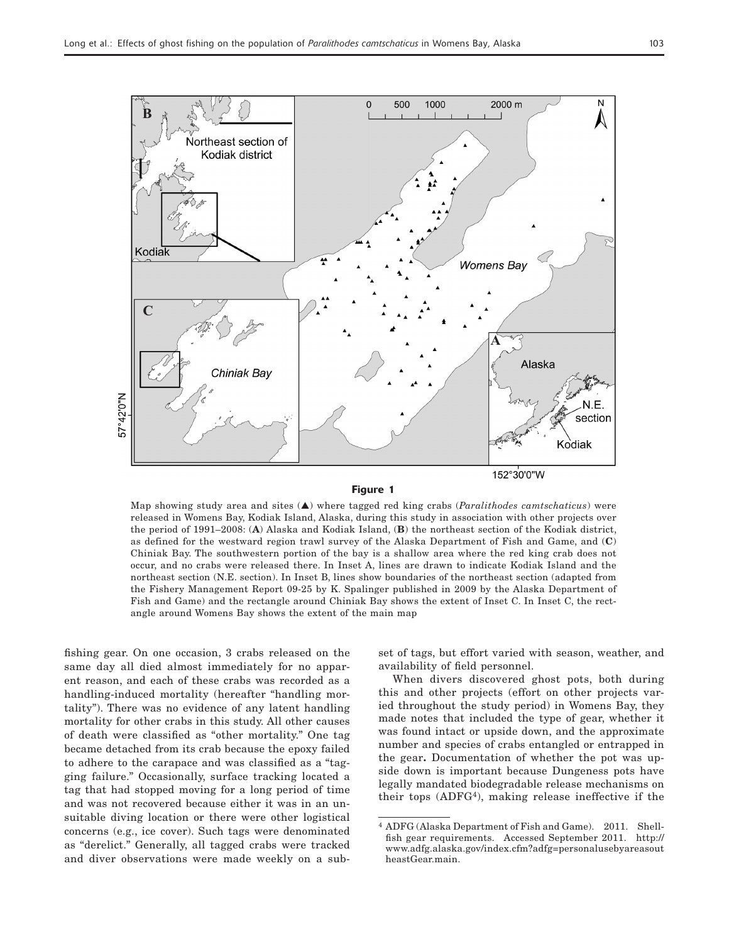

## **Figure 1**

Map showing study area and sites (▲) where tagged red king crabs (*Paralithodes camtschaticus*) were released in Womens Bay, Kodiak Island, Alaska, during this study in association with other projects over the period of 1991–2008: (**A**) Alaska and Kodiak Island, (**B**) the northeast section of the Kodiak district, as defined for the westward region trawl survey of the Alaska Department of Fish and Game, and (**C**) Chiniak Bay. The southwestern portion of the bay is a shallow area where the red king crab does not occur, and no crabs were released there. In Inset A, lines are drawn to indicate Kodiak Island and the northeast section (N.E. section). In Inset B, lines show boundaries of the northeast section (adapted from the Fishery Management Report 09-25 by K. Spalinger published in 2009 by the Alaska Department of Fish and Game) and the rectangle around Chiniak Bay shows the extent of Inset C. In Inset C, the rectangle around Womens Bay shows the extent of the main map

fishing gear. On one occasion, 3 crabs released on the same day all died almost immediately for no apparent reason, and each of these crabs was recorded as a handling-induced mortality (hereafter "handling mortality"). There was no evidence of any latent handling mortality for other crabs in this study. All other causes of death were classified as "other mortality." One tag became detached from its crab because the epoxy failed to adhere to the carapace and was classified as a "tagging failure." Occasionally, surface tracking located a tag that had stopped moving for a long period of time and was not recovered because either it was in an unsuitable diving location or there were other logistical concerns (e.g., ice cover). Such tags were denominated as "derelict." Generally, all tagged crabs were tracked and diver observations were made weekly on a subset of tags, but effort varied with season, weather, and availability of field personnel.

When divers discovered ghost pots, both during this and other projects (effort on other projects varied throughout the study period) in Womens Bay, they made notes that included the type of gear, whether it was found intact or upside down, and the approximate number and species of crabs entangled or entrapped in the gear**.** Documentation of whether the pot was upside down is important because Dungeness pots have legally mandated biodegradable release mechanisms on their tops (ADFG4), making release ineffective if the

<sup>4</sup> ADFG (Alaska Department of Fish and Game). 2011. Shellfish gear requirements. Accessed September 2011. http:// www.adfg.alaska.gov/index.cfm?adfg=personalusebyareasout heastGear.main.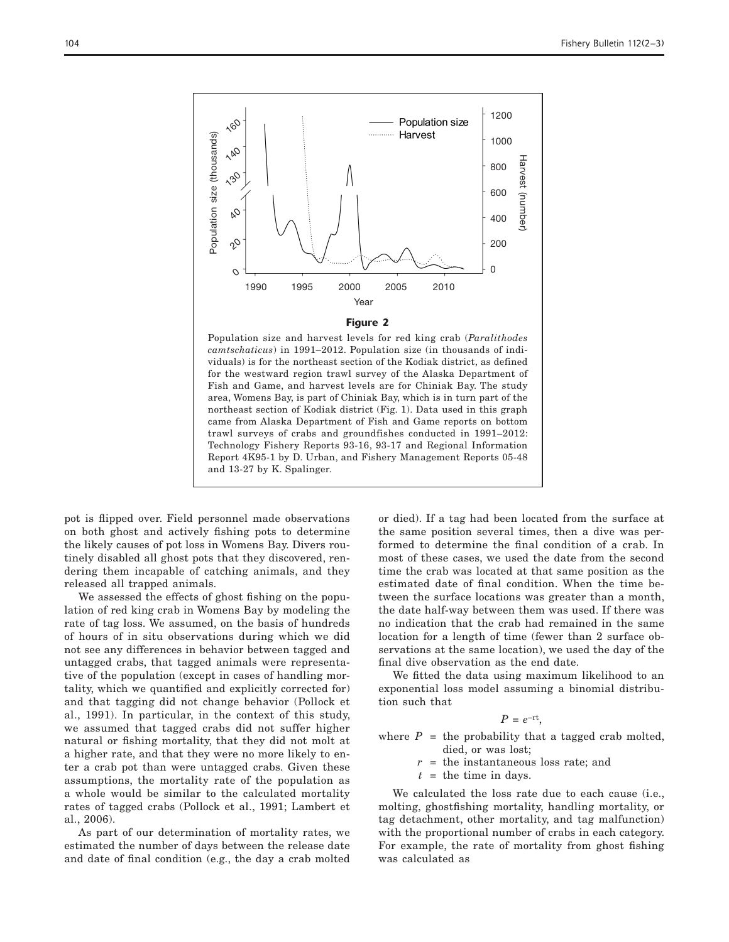

Population size and harvest levels for red king crab (*Paralithodes camtschaticus*) in 1991–2012. Population size (in thousands of individuals) is for the northeast section of the Kodiak district, as defined for the westward region trawl survey of the Alaska Department of Fish and Game, and harvest levels are for Chiniak Bay. The study area, Womens Bay, is part of Chiniak Bay, which is in turn part of the northeast section of Kodiak district (Fig. 1). Data used in this graph came from Alaska Department of Fish and Game reports on bottom trawl surveys of crabs and groundfishes conducted in 1991–2012: Technology Fishery Reports 93-16, 93-17 and Regional Information Report 4K95-1 by D. Urban, and Fishery Management Reports 05-48 and 13-27 by K. Spalinger.

pot is flipped over. Field personnel made observations on both ghost and actively fishing pots to determine the likely causes of pot loss in Womens Bay. Divers routinely disabled all ghost pots that they discovered, rendering them incapable of catching animals, and they released all trapped animals.

We assessed the effects of ghost fishing on the population of red king crab in Womens Bay by modeling the rate of tag loss. We assumed, on the basis of hundreds of hours of in situ observations during which we did not see any differences in behavior between tagged and untagged crabs, that tagged animals were representative of the population (except in cases of handling mortality, which we quantified and explicitly corrected for) and that tagging did not change behavior (Pollock et al., 1991). In particular, in the context of this study, we assumed that tagged crabs did not suffer higher natural or fishing mortality, that they did not molt at a higher rate, and that they were no more likely to enter a crab pot than were untagged crabs. Given these assumptions, the mortality rate of the population as a whole would be similar to the calculated mortality rates of tagged crabs (Pollock et al., 1991; Lambert et al., 2006).

As part of our determination of mortality rates, we estimated the number of days between the release date and date of final condition (e.g., the day a crab molted or died). If a tag had been located from the surface at the same position several times, then a dive was performed to determine the final condition of a crab. In most of these cases, we used the date from the second time the crab was located at that same position as the estimated date of final condition. When the time between the surface locations was greater than a month, the date half-way between them was used. If there was no indication that the crab had remained in the same location for a length of time (fewer than 2 surface observations at the same location), we used the day of the final dive observation as the end date.

We fitted the data using maximum likelihood to an exponential loss model assuming a binomial distribution such that

$$
P = e^{-rt},
$$

where  $P =$  the probability that a tagged crab molted, died, or was lost;

- *r* = the instantaneous loss rate; and
- $t =$  the time in days.

We calculated the loss rate due to each cause (i.e., molting, ghostfishing mortality, handling mortality, or tag detachment, other mortality, and tag malfunction) with the proportional number of crabs in each category. For example, the rate of mortality from ghost fishing was calculated as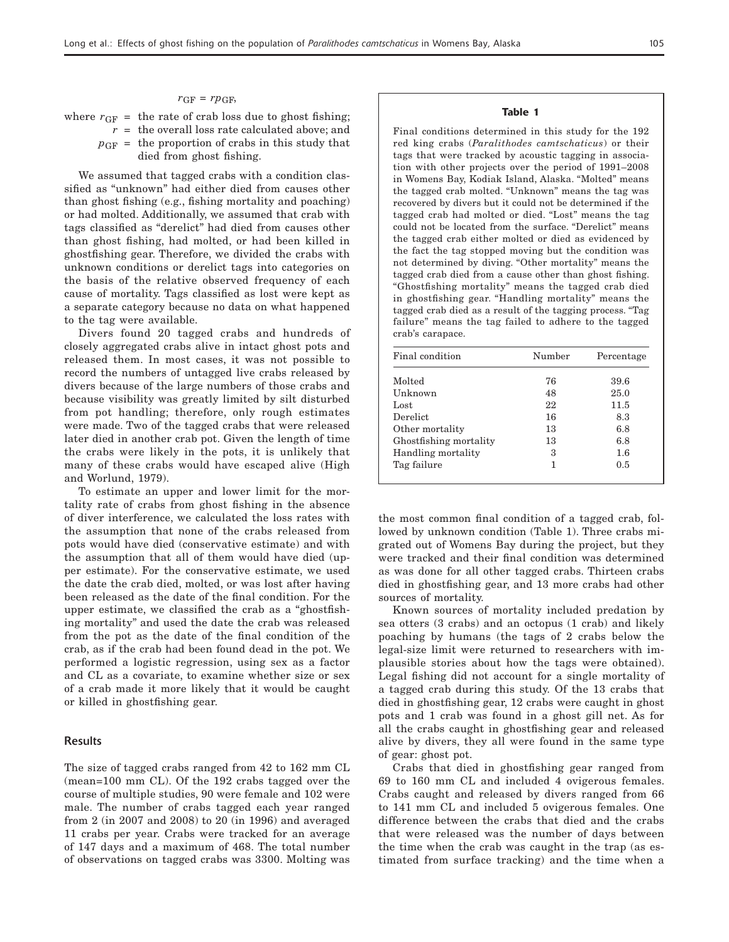### $r_{\text{GF}} = rp_{\text{GF}}$ ,

where  $r_{\text{GF}}$  = the rate of crab loss due to ghost fishing;

 $r =$  the overall loss rate calculated above; and  $p_{\text{GF}}$  = the proportion of crabs in this study that

died from ghost fishing.

We assumed that tagged crabs with a condition classified as "unknown" had either died from causes other than ghost fishing (e.g., fishing mortality and poaching) or had molted. Additionally, we assumed that crab with tags classified as "derelict" had died from causes other than ghost fishing, had molted, or had been killed in ghostfishing gear. Therefore, we divided the crabs with unknown conditions or derelict tags into categories on the basis of the relative observed frequency of each cause of mortality. Tags classified as lost were kept as a separate category because no data on what happened to the tag were available.

Divers found 20 tagged crabs and hundreds of closely aggregated crabs alive in intact ghost pots and released them. In most cases, it was not possible to record the numbers of untagged live crabs released by divers because of the large numbers of those crabs and because visibility was greatly limited by silt disturbed from pot handling; therefore, only rough estimates were made. Two of the tagged crabs that were released later died in another crab pot. Given the length of time the crabs were likely in the pots, it is unlikely that many of these crabs would have escaped alive (High and Worlund, 1979).

To estimate an upper and lower limit for the mortality rate of crabs from ghost fishing in the absence of diver interference, we calculated the loss rates with the assumption that none of the crabs released from pots would have died (conservative estimate) and with the assumption that all of them would have died (upper estimate). For the conservative estimate, we used the date the crab died, molted, or was lost after having been released as the date of the final condition. For the upper estimate, we classified the crab as a "ghostfishing mortality" and used the date the crab was released from the pot as the date of the final condition of the crab, as if the crab had been found dead in the pot. We performed a logistic regression, using sex as a factor and CL as a covariate, to examine whether size or sex of a crab made it more likely that it would be caught or killed in ghostfishing gear.

# Results

The size of tagged crabs ranged from 42 to 162 mm CL (mean=100 mm CL). Of the 192 crabs tagged over the course of multiple studies, 90 were female and 102 were male. The number of crabs tagged each year ranged from 2 (in 2007 and 2008) to 20 (in 1996) and averaged 11 crabs per year. Crabs were tracked for an average of 147 days and a maximum of 468. The total number of observations on tagged crabs was 3300. Molting was

### **Table 1**

Final conditions determined in this study for the 192 red king crabs (*Paralithodes camtschaticus*) or their tags that were tracked by acoustic tagging in association with other projects over the period of 1991–2008 in Womens Bay, Kodiak Island, Alaska. "Molted" means the tagged crab molted. "Unknown" means the tag was recovered by divers but it could not be determined if the tagged crab had molted or died. "Lost" means the tag could not be located from the surface. "Derelict" means the tagged crab either molted or died as evidenced by the fact the tag stopped moving but the condition was not determined by diving. "Other mortality" means the tagged crab died from a cause other than ghost fishing. "Ghostfishing mortality" means the tagged crab died in ghostfishing gear. "Handling mortality" means the tagged crab died as a result of the tagging process. "Tag failure" means the tag failed to adhere to the tagged crab's carapace.

| Final condition        | Number | Percentage |  |
|------------------------|--------|------------|--|
| Molted                 | 76     | 39.6       |  |
| Unknown                | 48     | 25.0       |  |
| Lost                   | 22     | 11.5       |  |
| <b>Derelict</b>        | 16     | 8.3        |  |
| Other mortality        | 13     | 6.8        |  |
| Ghostfishing mortality | 13     | 6.8        |  |
| Handling mortality     | 3      | 1.6        |  |
| Tag failure            |        | 0.5        |  |

the most common final condition of a tagged crab, followed by unknown condition (Table 1). Three crabs migrated out of Womens Bay during the project, but they were tracked and their final condition was determined as was done for all other tagged crabs. Thirteen crabs died in ghostfishing gear, and 13 more crabs had other sources of mortality.

Known sources of mortality included predation by sea otters (3 crabs) and an octopus (1 crab) and likely poaching by humans (the tags of 2 crabs below the legal-size limit were returned to researchers with implausible stories about how the tags were obtained). Legal fishing did not account for a single mortality of a tagged crab during this study. Of the 13 crabs that died in ghostfishing gear, 12 crabs were caught in ghost pots and 1 crab was found in a ghost gill net. As for all the crabs caught in ghostfishing gear and released alive by divers, they all were found in the same type of gear: ghost pot.

Crabs that died in ghostfishing gear ranged from 69 to 160 mm CL and included 4 ovigerous females. Crabs caught and released by divers ranged from 66 to 141 mm CL and included 5 ovigerous females. One difference between the crabs that died and the crabs that were released was the number of days between the time when the crab was caught in the trap (as estimated from surface tracking) and the time when a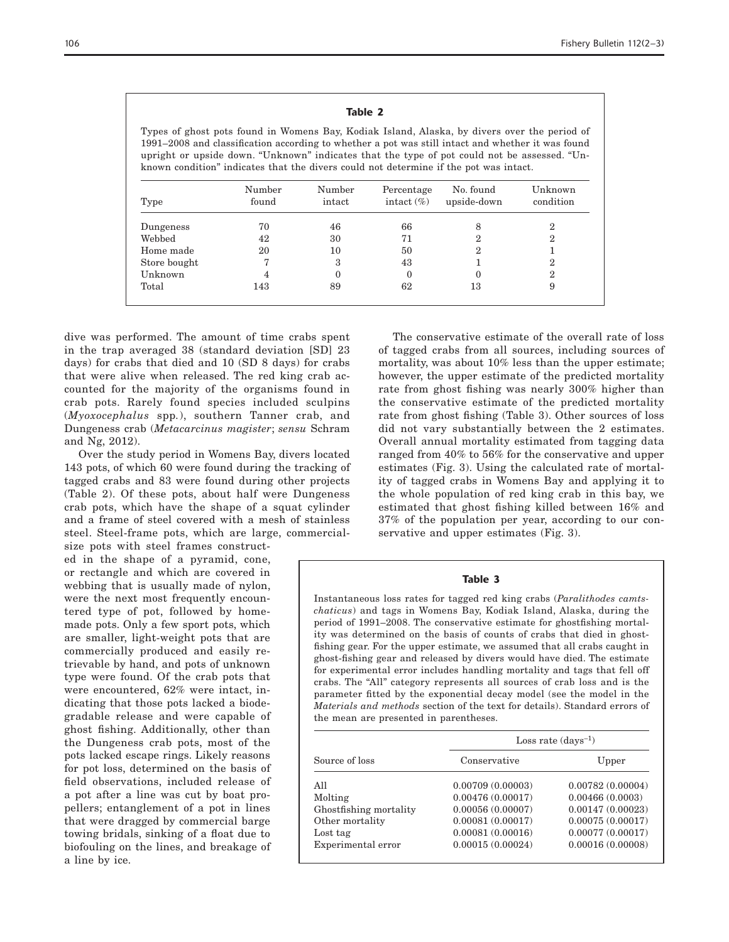| Table 2                                                                                                                                                                                                                                                                                                                                                                                    |                 |                  |                             |                          |                      |  |  |  |
|--------------------------------------------------------------------------------------------------------------------------------------------------------------------------------------------------------------------------------------------------------------------------------------------------------------------------------------------------------------------------------------------|-----------------|------------------|-----------------------------|--------------------------|----------------------|--|--|--|
| Types of ghost pots found in Womens Bay, Kodiak Island, Alaska, by divers over the period of<br>1991–2008 and classification according to whether a pot was still intact and whether it was found<br>upright or upside down. "Unknown" indicates that the type of pot could not be assessed. "Un-<br>known condition" indicates that the divers could not determine if the pot was intact. |                 |                  |                             |                          |                      |  |  |  |
| Type                                                                                                                                                                                                                                                                                                                                                                                       | Number<br>found | Number<br>intact | Percentage<br>intact $(\%)$ | No. found<br>upside-down | Unknown<br>condition |  |  |  |
| Dungeness                                                                                                                                                                                                                                                                                                                                                                                  | 70              | 46               | 66                          | 8                        | $\overline{2}$       |  |  |  |
| Webbed                                                                                                                                                                                                                                                                                                                                                                                     | 42              | 30               | 71                          | 2                        | 2                    |  |  |  |
| Home made                                                                                                                                                                                                                                                                                                                                                                                  | 20              | 10               | 50                          | 2                        |                      |  |  |  |
| Store bought                                                                                                                                                                                                                                                                                                                                                                               |                 | 3                | 43                          |                          | $\overline{2}$       |  |  |  |
| Unknown                                                                                                                                                                                                                                                                                                                                                                                    | 4               | $\Omega$         | 0                           | $\Omega$                 | $\overline{2}$       |  |  |  |
| Total                                                                                                                                                                                                                                                                                                                                                                                      | 143             | 89               | 62                          | 13                       | 9                    |  |  |  |

dive was performed. The amount of time crabs spent in the trap averaged 38 (standard deviation [SD] 23 days) for crabs that died and 10 (SD 8 days) for crabs that were alive when released. The red king crab accounted for the majority of the organisms found in crab pots. Rarely found species included sculpins (*Myoxocephalus* spp*.*), southern Tanner crab, and Dungeness crab (*Metacarcinus magister*; *sensu* Schram and Ng, 2012).

Over the study period in Womens Bay, divers located 143 pots, of which 60 were found during the tracking of tagged crabs and 83 were found during other projects (Table 2). Of these pots, about half were Dungeness crab pots, which have the shape of a squat cylinder and a frame of steel covered with a mesh of stainless steel. Steel-frame pots, which are large, commercial-

size pots with steel frames constructed in the shape of a pyramid, cone, or rectangle and which are covered in webbing that is usually made of nylon, were the next most frequently encountered type of pot, followed by homemade pots. Only a few sport pots, which are smaller, light-weight pots that are commercially produced and easily retrievable by hand, and pots of unknown type were found. Of the crab pots that were encountered, 62% were intact, indicating that those pots lacked a biodegradable release and were capable of ghost fishing. Additionally, other than the Dungeness crab pots, most of the pots lacked escape rings. Likely reasons for pot loss, determined on the basis of field observations, included release of a pot after a line was cut by boat propellers; entanglement of a pot in lines that were dragged by commercial barge towing bridals, sinking of a float due to biofouling on the lines, and breakage of a line by ice.

The conservative estimate of the overall rate of loss of tagged crabs from all sources, including sources of mortality, was about 10% less than the upper estimate; however, the upper estimate of the predicted mortality rate from ghost fishing was nearly 300% higher than the conservative estimate of the predicted mortality rate from ghost fishing (Table 3). Other sources of loss did not vary substantially between the 2 estimates. Overall annual mortality estimated from tagging data ranged from 40% to 56% for the conservative and upper estimates (Fig. 3). Using the calculated rate of mortality of tagged crabs in Womens Bay and applying it to the whole population of red king crab in this bay, we estimated that ghost fishing killed between 16% and 37% of the population per year, according to our conservative and upper estimates (Fig. 3).

### **Table 3**

Instantaneous loss rates for tagged red king crabs (*Paralithodes camtschaticus*) and tags in Womens Bay, Kodiak Island, Alaska, during the period of 1991–2008. The conservative estimate for ghostfishing mortality was determined on the basis of counts of crabs that died in ghostfishing gear. For the upper estimate, we assumed that all crabs caught in ghost-fishing gear and released by divers would have died. The estimate for experimental error includes handling mortality and tags that fell off crabs. The "All" category represents all sources of crab loss and is the parameter fitted by the exponential decay model (see the model in the *Materials and methods* section of the text for details). Standard errors of the mean are presented in parentheses.

|                        | Loss rate $(days^{-1})$ |                  |  |  |
|------------------------|-------------------------|------------------|--|--|
| Source of loss         | Conservative            | Upper            |  |  |
| All                    | 0.00709(0.00003)        | 0.00782(0.00004) |  |  |
| Molting                | 0.00476(0.00017)        | 0.00466(0.0003)  |  |  |
| Ghostfishing mortality | 0.00056(0.00007)        | 0.00147(0.00023) |  |  |
| Other mortality        | 0.00081(0.00017)        | 0.00075(0.00017) |  |  |
| Lost tag               | 0.00081(0.00016)        | 0.00077(0.00017) |  |  |
| Experimental error     | 0.00015(0.00024)        | 0.00016(0.00008) |  |  |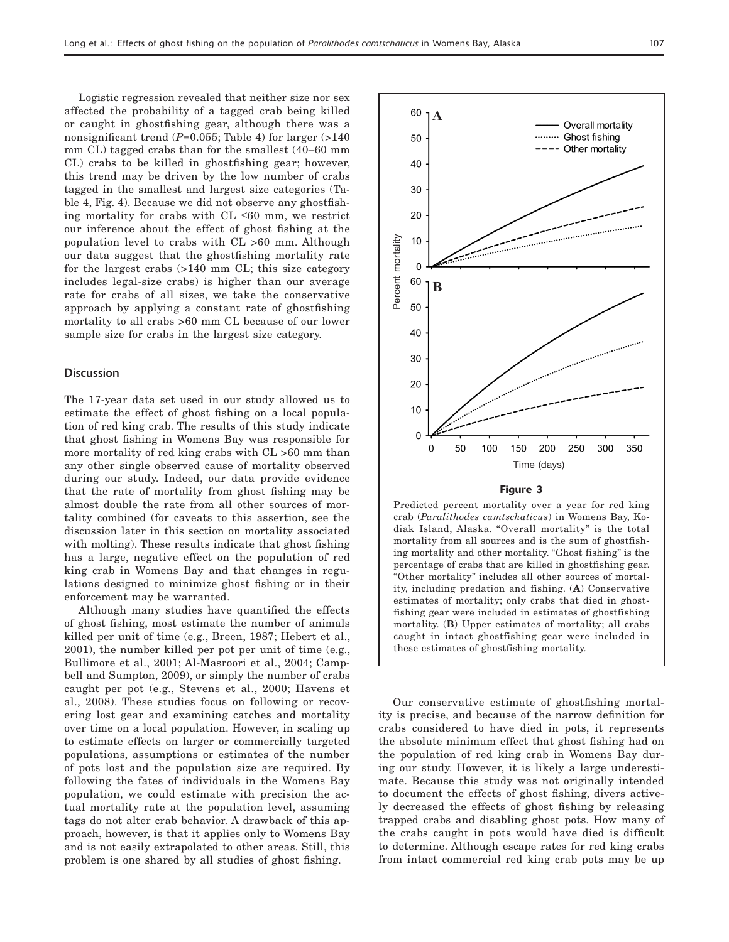Logistic regression revealed that neither size nor sex affected the probability of a tagged crab being killed or caught in ghostfishing gear, although there was a nonsignificant trend  $(P=0.055;$  Table 4) for larger  $(>140)$ mm CL) tagged crabs than for the smallest (40–60 mm  $CL$ ) crabs to be killed in ghostfishing gear; however, this trend may be driven by the low number of crabs tagged in the smallest and largest size categories (Table 4, Fig. 4). Because we did not observe any ghostfishing mortality for crabs with CL ≤60 mm, we restrict our inference about the effect of ghost fishing at the population level to crabs with CL >60 mm. Although our data suggest that the ghostfishing mortality rate for the largest crabs (>140 mm CL; this size category includes legal-size crabs) is higher than our average rate for crabs of all sizes, we take the conservative approach by applying a constant rate of ghostfishing mortality to all crabs >60 mm CL because of our lower sample size for crabs in the largest size category.

## **Discussion**

The 17-year data set used in our study allowed us to estimate the effect of ghost fishing on a local population of red king crab. The results of this study indicate that ghost fishing in Womens Bay was responsible for more mortality of red king crabs with CL >60 mm than any other single observed cause of mortality observed during our study. Indeed, our data provide evidence that the rate of mortality from ghost fishing may be almost double the rate from all other sources of mortality combined (for caveats to this assertion, see the discussion later in this section on mortality associated with molting). These results indicate that ghost fishing has a large, negative effect on the population of red king crab in Womens Bay and that changes in regulations designed to minimize ghost fishing or in their enforcement may be warranted.

Although many studies have quantified the effects of ghost fishing, most estimate the number of animals killed per unit of time (e.g., Breen, 1987; Hebert et al., 2001), the number killed per pot per unit of time (e.g., Bullimore et al., 2001; Al-Masroori et al., 2004; Campbell and Sumpton, 2009), or simply the number of crabs caught per pot (e.g., Stevens et al., 2000; Havens et al., 2008). These studies focus on following or recovering lost gear and examining catches and mortality over time on a local population. However, in scaling up to estimate effects on larger or commercially targeted populations, assumptions or estimates of the number of pots lost and the population size are required. By following the fates of individuals in the Womens Bay population, we could estimate with precision the actual mortality rate at the population level, assuming tags do not alter crab behavior. A drawback of this approach, however, is that it applies only to Womens Bay and is not easily extrapolated to other areas. Still, this problem is one shared by all studies of ghost fishing.



### **Figure 3**

Predicted percent mortality over a year for red king crab (*Paralithodes camtschaticus*) in Womens Bay, Kodiak Island, Alaska. "Overall mortality" is the total mortality from all sources and is the sum of ghostfishing mortality and other mortality. "Ghost fishing" is the percentage of crabs that are killed in ghostfishing gear. "Other mortality" includes all other sources of mortality, including predation and fishing. (**A**) Conservative estimates of mortality; only crabs that died in ghostfishing gear were included in estimates of ghostfishing mortality. (**B**) Upper estimates of mortality; all crabs caught in intact ghostfishing gear were included in these estimates of ghostfishing mortality.

Our conservative estimate of ghostfishing mortality is precise, and because of the narrow definition for crabs considered to have died in pots, it represents the absolute minimum effect that ghost fishing had on the population of red king crab in Womens Bay during our study. However, it is likely a large underestimate. Because this study was not originally intended to document the effects of ghost fishing, divers actively decreased the effects of ghost fishing by releasing trapped crabs and disabling ghost pots. How many of the crabs caught in pots would have died is difficult to determine. Although escape rates for red king crabs from intact commercial red king crab pots may be up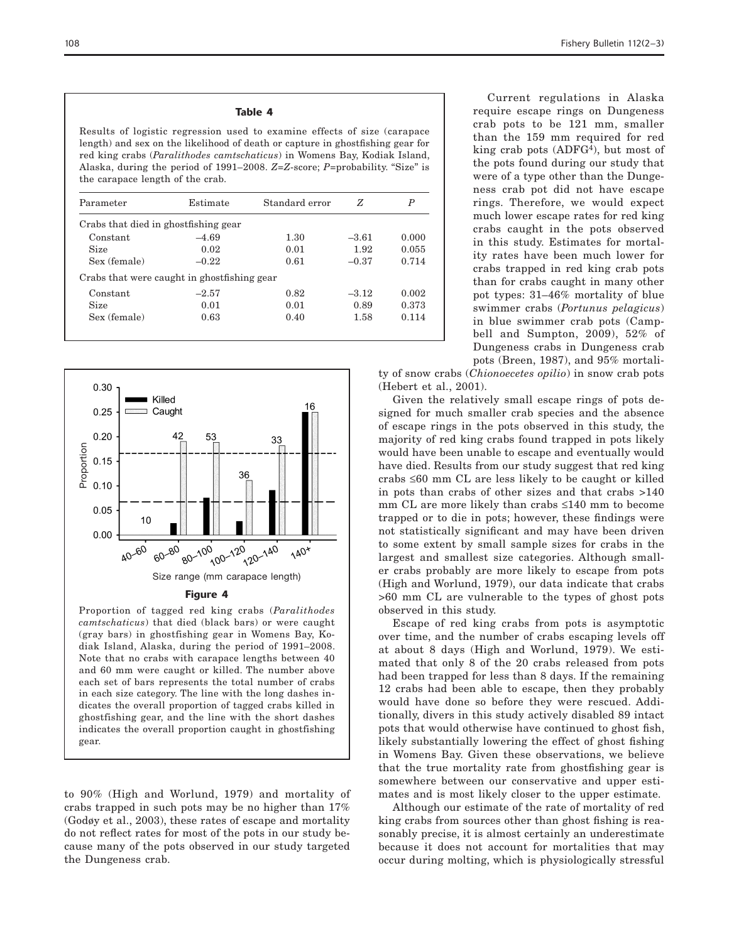## **Table 4**

Results of logistic regression used to examine effects of size (carapace length) and sex on the likelihood of death or capture in ghostfishing gear for red king crabs (*Paralithodes camtschaticus*) in Womens Bay, Kodiak Island, Alaska, during the period of 1991–2008. *Z*=*Z*-score; *P*=probability. "Size" is the carapace length of the crab.

| Estimate | Standard error                       | Z                                           | P     |
|----------|--------------------------------------|---------------------------------------------|-------|
|          |                                      |                                             |       |
| $-4.69$  | 1.30                                 | $-3.61$                                     | 0.000 |
| 0.02     | 0.01                                 | 1.92                                        | 0.055 |
| $-0.22$  | 0.61                                 | $-0.37$                                     | 0.714 |
|          |                                      |                                             |       |
| $-2.57$  | 0.82                                 | $-3.12$                                     | 0.002 |
| 0.01     | 0.01                                 | 0.89                                        | 0.373 |
| 0.63     | 0.40                                 | 1.58                                        | 0.114 |
|          | Crabs that died in ghostfishing gear | Crabs that were caught in ghostfishing gear |       |



## **Figure 4**

Proportion of tagged red king crabs (*Paralithodes camtschaticus*) that died (black bars) or were caught (gray bars) in ghostfishing gear in Womens Bay, Kodiak Island, Alaska, during the period of 1991–2008. Note that no crabs with carapace lengths between 40 and 60 mm were caught or killed. The number above each set of bars represents the total number of crabs in each size category. The line with the long dashes indicates the overall proportion of tagged crabs killed in ghostfishing gear, and the line with the short dashes indicates the overall proportion caught in ghostfishing gear.

to 90% (High and Worlund, 1979) and mortality of crabs trapped in such pots may be no higher than 17% (Godøy et al., 2003), these rates of escape and mortality do not reflect rates for most of the pots in our study because many of the pots observed in our study targeted the Dungeness crab.

Current regulations in Alaska require escape rings on Dungeness crab pots to be 121 mm, smaller than the 159 mm required for red king crab pots (ADFG4), but most of the pots found during our study that were of a type other than the Dungeness crab pot did not have escape rings. Therefore, we would expect much lower escape rates for red king crabs caught in the pots observed in this study. Estimates for mortality rates have been much lower for crabs trapped in red king crab pots than for crabs caught in many other pot types: 31–46% mortality of blue swimmer crabs (*Portunus pelagicus*) in blue swimmer crab pots (Campbell and Sumpton, 2009), 52% of Dungeness crabs in Dungeness crab pots (Breen, 1987), and 95% mortali-

ty of snow crabs (*Chionoecetes opilio*) in snow crab pots (Hebert et al., 2001).

Given the relatively small escape rings of pots designed for much smaller crab species and the absence of escape rings in the pots observed in this study, the majority of red king crabs found trapped in pots likely would have been unable to escape and eventually would have died. Results from our study suggest that red king crabs ≤60 mm CL are less likely to be caught or killed in pots than crabs of other sizes and that crabs >140 mm CL are more likely than crabs ≤140 mm to become trapped or to die in pots; however, these findings were not statistically significant and may have been driven to some extent by small sample sizes for crabs in the largest and smallest size categories. Although smaller crabs probably are more likely to escape from pots (High and Worlund, 1979), our data indicate that crabs >60 mm CL are vulnerable to the types of ghost pots observed in this study.

Escape of red king crabs from pots is asymptotic over time, and the number of crabs escaping levels off at about 8 days (High and Worlund, 1979). We estimated that only 8 of the 20 crabs released from pots had been trapped for less than 8 days. If the remaining 12 crabs had been able to escape, then they probably would have done so before they were rescued. Additionally, divers in this study actively disabled 89 intact pots that would otherwise have continued to ghost fish, likely substantially lowering the effect of ghost fishing in Womens Bay. Given these observations, we believe that the true mortality rate from ghostfishing gear is somewhere between our conservative and upper estimates and is most likely closer to the upper estimate.

Although our estimate of the rate of mortality of red king crabs from sources other than ghost fishing is reasonably precise, it is almost certainly an underestimate because it does not account for mortalities that may occur during molting, which is physiologically stressful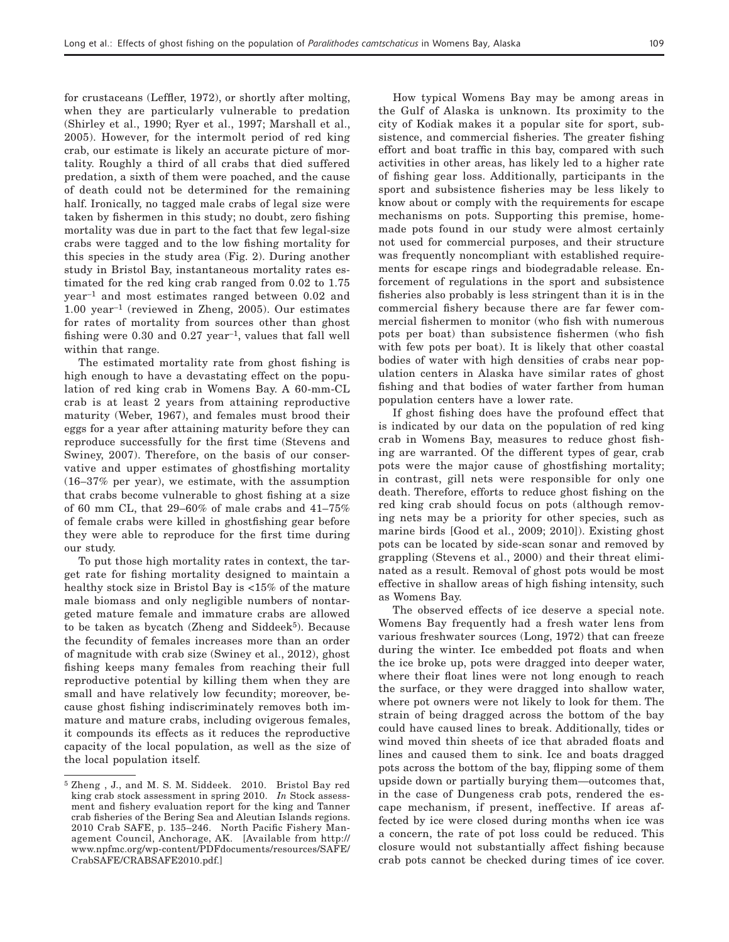for crustaceans (Leffler, 1972), or shortly after molting, when they are particularly vulnerable to predation (Shirley et al., 1990; Ryer et al., 1997; Marshall et al., 2005). However, for the intermolt period of red king crab, our estimate is likely an accurate picture of mortality. Roughly a third of all crabs that died suffered predation, a sixth of them were poached, and the cause of death could not be determined for the remaining half. Ironically, no tagged male crabs of legal size were taken by fishermen in this study; no doubt, zero fishing mortality was due in part to the fact that few legal-size crabs were tagged and to the low fishing mortality for this species in the study area (Fig. 2). During another study in Bristol Bay, instantaneous mortality rates estimated for the red king crab ranged from 0.02 to 1.75 year–1 and most estimates ranged between 0.02 and 1.00 year–1 (reviewed in Zheng, 2005). Our estimates for rates of mortality from sources other than ghost fishing were 0.30 and 0.27 year<sup>-1</sup>, values that fall well within that range.

The estimated mortality rate from ghost fishing is high enough to have a devastating effect on the population of red king crab in Womens Bay. A 60-mm-CL crab is at least 2 years from attaining reproductive maturity (Weber, 1967), and females must brood their eggs for a year after attaining maturity before they can reproduce successfully for the first time (Stevens and Swiney, 2007). Therefore, on the basis of our conservative and upper estimates of ghostfishing mortality (16–37% per year), we estimate, with the assumption that crabs become vulnerable to ghost fishing at a size of 60 mm CL, that 29–60% of male crabs and 41–75% of female crabs were killed in ghostfishing gear before they were able to reproduce for the first time during our study.

To put those high mortality rates in context, the target rate for fishing mortality designed to maintain a healthy stock size in Bristol Bay is <15% of the mature male biomass and only negligible numbers of nontargeted mature female and immature crabs are allowed to be taken as bycatch (Zheng and Siddeek $5$ ). Because the fecundity of females increases more than an order of magnitude with crab size (Swiney et al., 2012), ghost fishing keeps many females from reaching their full reproductive potential by killing them when they are small and have relatively low fecundity; moreover, because ghost fishing indiscriminately removes both immature and mature crabs, including ovigerous females, it compounds its effects as it reduces the reproductive capacity of the local population, as well as the size of the local population itself.

How typical Womens Bay may be among areas in the Gulf of Alaska is unknown. Its proximity to the city of Kodiak makes it a popular site for sport, subsistence, and commercial fisheries. The greater fishing effort and boat traffic in this bay, compared with such activities in other areas, has likely led to a higher rate of fishing gear loss. Additionally, participants in the sport and subsistence fisheries may be less likely to know about or comply with the requirements for escape mechanisms on pots. Supporting this premise, homemade pots found in our study were almost certainly not used for commercial purposes, and their structure was frequently noncompliant with established requirements for escape rings and biodegradable release. Enforcement of regulations in the sport and subsistence fisheries also probably is less stringent than it is in the commercial fishery because there are far fewer commercial fishermen to monitor (who fish with numerous pots per boat) than subsistence fishermen (who fish with few pots per boat). It is likely that other coastal bodies of water with high densities of crabs near population centers in Alaska have similar rates of ghost fishing and that bodies of water farther from human population centers have a lower rate.

If ghost fishing does have the profound effect that is indicated by our data on the population of red king crab in Womens Bay, measures to reduce ghost fishing are warranted. Of the different types of gear, crab pots were the major cause of ghostfishing mortality; in contrast, gill nets were responsible for only one death. Therefore, efforts to reduce ghost fishing on the red king crab should focus on pots (although removing nets may be a priority for other species, such as marine birds [Good et al., 2009; 2010]). Existing ghost pots can be located by side-scan sonar and removed by grappling (Stevens et al., 2000) and their threat eliminated as a result. Removal of ghost pots would be most effective in shallow areas of high fishing intensity, such as Womens Bay.

The observed effects of ice deserve a special note. Womens Bay frequently had a fresh water lens from various freshwater sources (Long, 1972) that can freeze during the winter. Ice embedded pot floats and when the ice broke up, pots were dragged into deeper water, where their float lines were not long enough to reach the surface, or they were dragged into shallow water, where pot owners were not likely to look for them. The strain of being dragged across the bottom of the bay could have caused lines to break. Additionally, tides or wind moved thin sheets of ice that abraded floats and lines and caused them to sink. Ice and boats dragged pots across the bottom of the bay, flipping some of them upside down or partially burying them—outcomes that, in the case of Dungeness crab pots, rendered the escape mechanism, if present, ineffective. If areas affected by ice were closed during months when ice was a concern, the rate of pot loss could be reduced. This closure would not substantially affect fishing because crab pots cannot be checked during times of ice cover.

<sup>5</sup> Zheng , J., and M. S. M. Siddeek. 2010. Bristol Bay red king crab stock assessment in spring 2010. *In* Stock assessment and fishery evaluation report for the king and Tanner crab fisheries of the Bering Sea and Aleutian Islands regions. 2010 Crab SAFE, p. 135-246. North Pacific Fishery Management Council, Anchorage, AK. [Available from http:// www.npfmc.org/wp-content/PDFdocuments/resources/SAFE/ CrabSAFE/CRABSAFE2010.pdf.]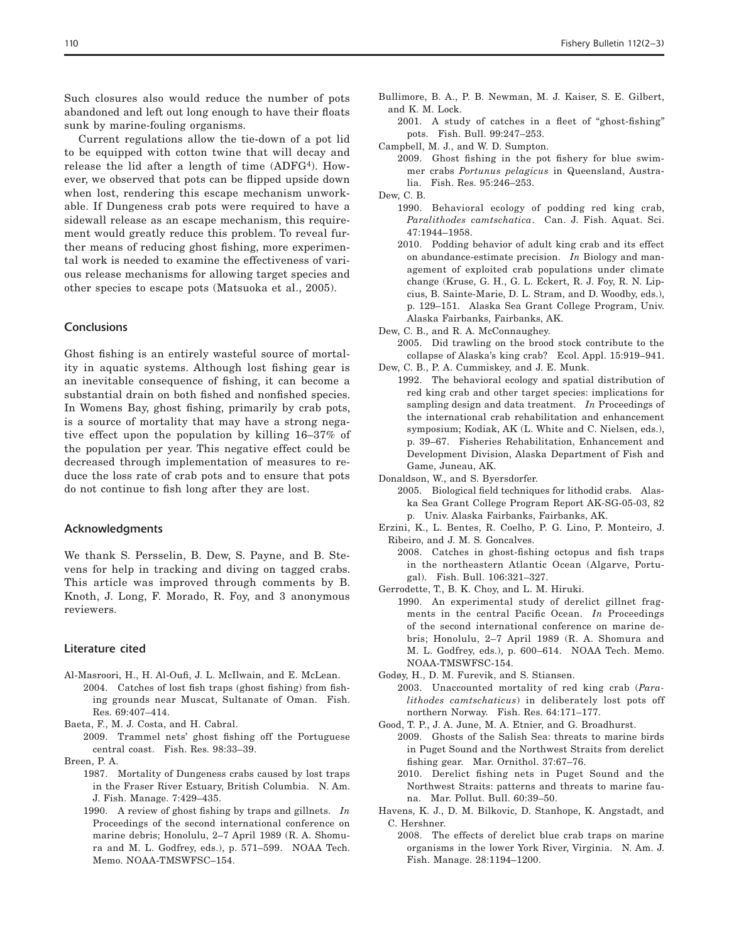Such closures also would reduce the number of pots abandoned and left out long enough to have their floats sunk by marine-fouling organisms.

Current regulations allow the tie-down of a pot lid to be equipped with cotton twine that will decay and release the lid after a length of time  $(ADFG<sup>4</sup>)$ . However, we observed that pots can be flipped upside down when lost, rendering this escape mechanism unworkable. If Dungeness crab pots were required to have a sidewall release as an escape mechanism, this requirement would greatly reduce this problem. To reveal further means of reducing ghost fishing, more experimental work is needed to examine the effectiveness of various release mechanisms for allowing target species and other species to escape pots (Matsuoka et al., 2005).

# **Conclusions**

Ghost fishing is an entirely wasteful source of mortality in aquatic systems. Although lost fishing gear is an inevitable consequence of fishing, it can become a substantial drain on both fished and nonfished species. In Womens Bay, ghost fishing, primarily by crab pots, is a source of mortality that may have a strong negative effect upon the population by killing 16–37% of the population per year. This negative effect could be decreased through implementation of measures to reduce the loss rate of crab pots and to ensure that pots do not continue to fish long after they are lost.

## Acknowledgments

We thank S. Persselin, B. Dew, S. Payne, and B. Stevens for help in tracking and diving on tagged crabs. This article was improved through comments by B. Knoth, J. Long, F. Morado, R. Foy, and 3 anonymous reviewers.

### Literature cited

- Al-Masroori, H., H. Al-Oufi, J. L. McIlwain, and E. McLean. 2004. Catches of lost fish traps (ghost fishing) from fishing grounds near Muscat, Sultanate of Oman. Fish. Res. 69:407–414.
- Baeta, F., M. J. Costa, and H. Cabral.
- 2009. Trammel nets' ghost fishing off the Portuguese central coast. Fish. Res. 98:33–39.
- Breen, P. A.
	- 1987. Mortality of Dungeness crabs caused by lost traps in the Fraser River Estuary, British Columbia. N. Am. J. Fish. Manage. 7:429–435.
	- 1990. A review of ghost fishing by traps and gillnets. *In* Proceedings of the second international conference on marine debris; Honolulu, 2–7 April 1989 (R. A. Shomura and M. L. Godfrey, eds.), p. 571–599. NOAA Tech. Memo. NOAA-TMSWFSC–154.
- Bullimore, B. A., P. B. Newman, M. J. Kaiser, S. E. Gilbert, and K. M. Lock.
	- 2001. A study of catches in a fleet of "ghost-fishing" pots. Fish. Bull. 99:247–253.
- Campbell, M. J., and W. D. Sumpton.
	- 2009. Ghost fishing in the pot fishery for blue swimmer crabs *Portunus pelagicus* in Queensland, Australia. Fish. Res. 95:246–253.

Dew, C. B.

- 1990. Behavioral ecology of podding red king crab, *Paralithodes camtschatica*. Can. J. Fish. Aquat. Sci. 47:1944–1958.
- 2010. Podding behavior of adult king crab and its effect on abundance-estimate precision. *In* Biology and management of exploited crab populations under climate change (Kruse, G. H., G. L. Eckert, R. J. Foy, R. N. Lipcius, B. Sainte-Marie, D. L. Stram, and D. Woodby, eds.), p. 129–151. Alaska Sea Grant College Program, Univ. Alaska Fairbanks, Fairbanks, AK.

Dew, C. B., and R. A. McConnaughey.

- 2005. Did trawling on the brood stock contribute to the collapse of Alaska's king crab? Ecol. Appl. 15:919–941.
- Dew, C. B., P. A. Cummiskey, and J. E. Munk.
- 1992. The behavioral ecology and spatial distribution of red king crab and other target species: implications for sampling design and data treatment. *In* Proceedings of the international crab rehabilitation and enhancement symposium; Kodiak, AK (L. White and C. Nielsen, eds.), p. 39–67. Fisheries Rehabilitation, Enhancement and Development Division, Alaska Department of Fish and Game, Juneau, AK.

Donaldson, W., and S. Byersdorfer.

- 2005. Biological field techniques for lithodid crabs. Alaska Sea Grant College Program Report AK-SG-05-03, 82 p. Univ. Alaska Fairbanks, Fairbanks, AK.
- Erzini, K., L. Bentes, R. Coelho, P. G. Lino, P. Monteiro, J. Ribeiro, and J. M. S. Goncalves.
	- 2008. Catches in ghost-fishing octopus and fish traps in the northeastern Atlantic Ocean (Algarve, Portugal). Fish. Bull. 106:321–327.
- Gerrodette, T., B. K. Choy, and L. M. Hiruki.
	- 1990. An experimental study of derelict gillnet fragments in the central Pacific Ocean. *In* Proceedings of the second international conference on marine debris; Honolulu, 2–7 April 1989 (R. A. Shomura and M. L. Godfrey, eds.), p. 600–614. NOAA Tech. Memo. NOAA-TMSWFSC-154.
- Godøy, H., D. M. Furevik, and S. Stiansen.
	- 2003. Unaccounted mortality of red king crab (*Paralithodes camtschaticus*) in deliberately lost pots off northern Norway. Fish. Res. 64:171–177.
- Good, T. P., J. A. June, M. A. Etnier, and G. Broadhurst. 2009. Ghosts of the Salish Sea: threats to marine birds in Puget Sound and the Northwest Straits from derelict fishing gear. Mar. Ornithol. 37:67–76.
	- 2010. Derelict fishing nets in Puget Sound and the Northwest Straits: patterns and threats to marine fauna. Mar. Pollut. Bull. 60:39–50.
- Havens, K. J., D. M. Bilkovic, D. Stanhope, K. Angstadt, and C. Hershner.
	- 2008. The effects of derelict blue crab traps on marine organisms in the lower York River, Virginia. N. Am. J. Fish. Manage. 28:1194–1200.